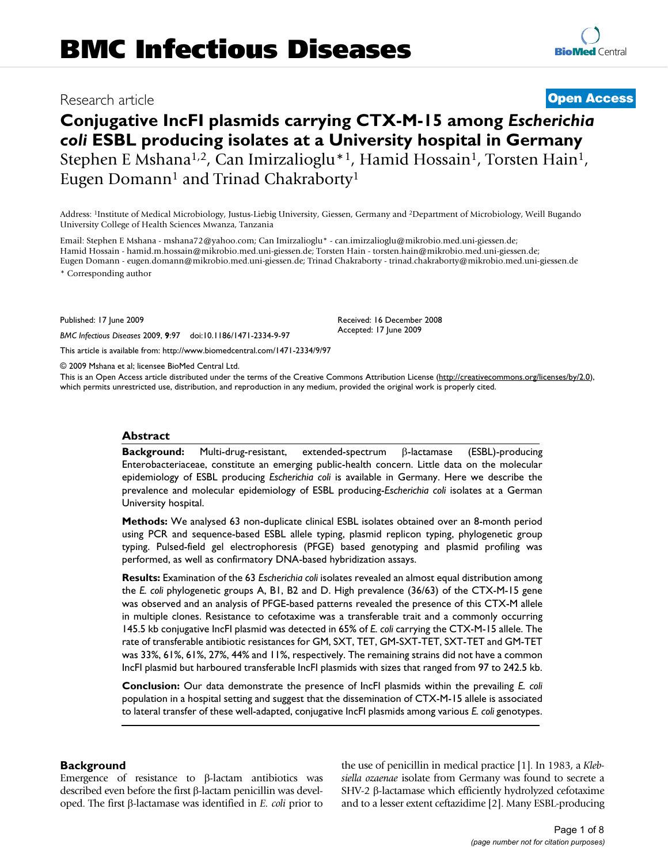# **Conjugative IncFI plasmids carrying CTX-M-15 among** *Escherichia coli* **ESBL producing isolates at a University hospital in Germany** Stephen E Mshana<sup>1,2</sup>, Can Imirzalioglu<sup>\*1</sup>, Hamid Hossain<sup>1</sup>, Torsten Hain<sup>1</sup>, Eugen Domann<sup>1</sup> and Trinad Chakraborty<sup>1</sup>

Address: 1Institute of Medical Microbiology, Justus-Liebig University, Giessen, Germany and 2Department of Microbiology, Weill Bugando University College of Health Sciences Mwanza, Tanzania

Email: Stephen E Mshana - mshana72@yahoo.com; Can Imirzalioglu\* - can.imirzalioglu@mikrobio.med.uni-giessen.de; Hamid Hossain - hamid.m.hossain@mikrobio.med.uni-giessen.de; Torsten Hain - torsten.hain@mikrobio.med.uni-giessen.de; Eugen Domann - eugen.domann@mikrobio.med.uni-giessen.de; Trinad Chakraborty - trinad.chakraborty@mikrobio.med.uni-giessen.de \* Corresponding author

Published: 17 June 2009

*BMC Infectious Diseases* 2009, **9**:97 doi:10.1186/1471-2334-9-97

[This article is available from: http://www.biomedcentral.com/1471-2334/9/97](http://www.biomedcentral.com/1471-2334/9/97)

© 2009 Mshana et al; licensee BioMed Central Ltd.

This is an Open Access article distributed under the terms of the Creative Commons Attribution License [\(http://creativecommons.org/licenses/by/2.0\)](http://creativecommons.org/licenses/by/2.0), which permits unrestricted use, distribution, and reproduction in any medium, provided the original work is properly cited.

#### **Abstract**

**Background:** Multi-drug-resistant, extended-spectrum β-lactamase (ESBL)-producing Enterobacteriaceae, constitute an emerging public-health concern. Little data on the molecular epidemiology of ESBL producing *Escherichia coli* is available in Germany. Here we describe the prevalence and molecular epidemiology of ESBL producing-*Escherichia coli* isolates at a German University hospital.

**Methods:** We analysed 63 non-duplicate clinical ESBL isolates obtained over an 8-month period using PCR and sequence-based ESBL allele typing, plasmid replicon typing, phylogenetic group typing. Pulsed-field gel electrophoresis (PFGE) based genotyping and plasmid profiling was performed, as well as confirmatory DNA-based hybridization assays.

**Results:** Examination of the 63 *Escherichia coli* isolates revealed an almost equal distribution among the *E. coli* phylogenetic groups A, B1, B2 and D. High prevalence (36/63) of the CTX-M-15 gene was observed and an analysis of PFGE-based patterns revealed the presence of this CTX-M allele in multiple clones. Resistance to cefotaxime was a transferable trait and a commonly occurring 145.5 kb conjugative IncFI plasmid was detected in 65% of *E. coli* carrying the CTX-M-15 allele. The rate of transferable antibiotic resistances for GM, SXT, TET, GM-SXT-TET, SXT-TET and GM-TET was 33%, 61%, 61%, 27%, 44% and 11%, respectively. The remaining strains did not have a common IncFI plasmid but harboured transferable IncFI plasmids with sizes that ranged from 97 to 242.5 kb.

**Conclusion:** Our data demonstrate the presence of IncFI plasmids within the prevailing *E. coli* population in a hospital setting and suggest that the dissemination of CTX-M-15 allele is associated to lateral transfer of these well-adapted, conjugative IncFI plasmids among various *E. coli* genotypes.

#### **Background**

Emergence of resistance to β-lactam antibiotics was described even before the first β-lactam penicillin was developed. The first β-lactamase was identified in *E. coli* prior to the use of penicillin in medical practice [1]. In 1983, a *Klebsiella ozaenae* isolate from Germany was found to secrete a SHV-2 β-lactamase which efficiently hydrolyzed cefotaxime and to a lesser extent ceftazidime [2]. Many ESBL-producing

# Research article **[Open Access](http://www.biomedcentral.com/info/about/charter/)**

Received: 16 December 2008 Accepted: 17 June 2009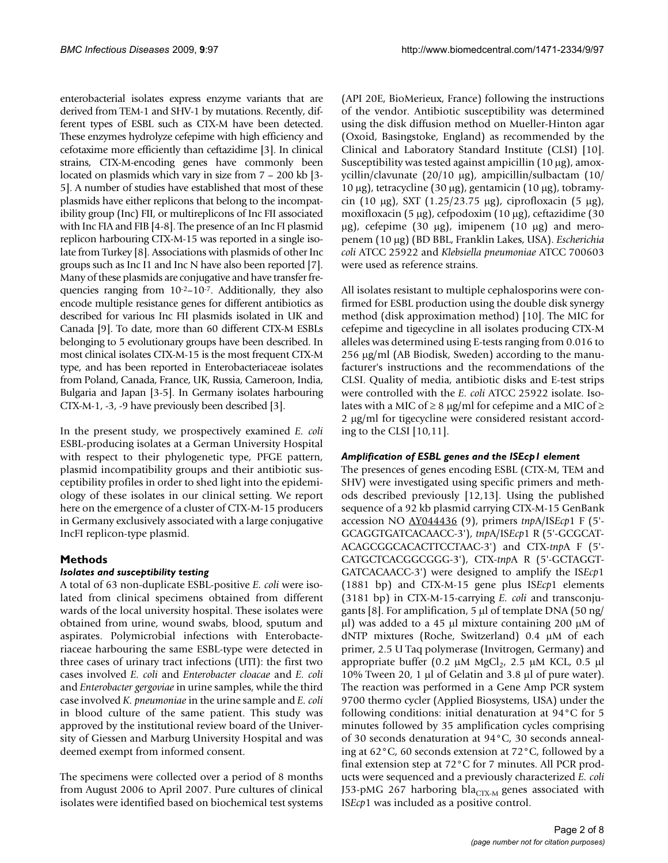enterobacterial isolates express enzyme variants that are derived from TEM-1 and SHV-1 by mutations. Recently, different types of ESBL such as CTX-M have been detected. These enzymes hydrolyze cefepime with high efficiency and cefotaxime more efficiently than ceftazidime [3]. In clinical strains, CTX-M-encoding genes have commonly been located on plasmids which vary in size from 7 – 200 kb [3- 5]. A number of studies have established that most of these plasmids have either replicons that belong to the incompatibility group (Inc) FII, or multireplicons of Inc FII associated with Inc FIA and FIB [4-8]. The presence of an Inc FI plasmid replicon harbouring CTX-M-15 was reported in a single isolate from Turkey [8]. Associations with plasmids of other Inc groups such as Inc I1 and Inc N have also been reported [7]. Many of these plasmids are conjugative and have transfer frequencies ranging from 10-2–10-7. Additionally, they also encode multiple resistance genes for different antibiotics as described for various Inc FII plasmids isolated in UK and Canada [9]. To date, more than 60 different CTX-M ESBLs belonging to 5 evolutionary groups have been described. In most clinical isolates CTX-M-15 is the most frequent CTX-M type, and has been reported in Enterobacteriaceae isolates from Poland, Canada, France, UK, Russia, Cameroon, India, Bulgaria and Japan [3-5]. In Germany isolates harbouring CTX-M-1, -3, -9 have previously been described [3].

In the present study, we prospectively examined *E. coli* ESBL-producing isolates at a German University Hospital with respect to their phylogenetic type, PFGE pattern, plasmid incompatibility groups and their antibiotic susceptibility profiles in order to shed light into the epidemiology of these isolates in our clinical setting. We report here on the emergence of a cluster of CTX-M-15 producers in Germany exclusively associated with a large conjugative IncFI replicon-type plasmid.

# **Methods**

#### *Isolates and susceptibility testing*

A total of 63 non-duplicate ESBL-positive *E. coli* were isolated from clinical specimens obtained from different wards of the local university hospital. These isolates were obtained from urine, wound swabs, blood, sputum and aspirates. Polymicrobial infections with Enterobacteriaceae harbouring the same ESBL-type were detected in three cases of urinary tract infections (UTI): the first two cases involved *E. coli* and *Enterobacter cloacae* and *E. coli* and *Enterobacter gergoviae* in urine samples, while the third case involved *K. pneumoniae* in the urine sample and *E. coli* in blood culture of the same patient. This study was approved by the institutional review board of the University of Giessen and Marburg University Hospital and was deemed exempt from informed consent.

The specimens were collected over a period of 8 months from August 2006 to April 2007. Pure cultures of clinical isolates were identified based on biochemical test systems

(API 20E, BioMerieux, France) following the instructions of the vendor. Antibiotic susceptibility was determined using the disk diffusion method on Mueller-Hinton agar (Oxoid, Basingstoke, England) as recommended by the Clinical and Laboratory Standard Institute (CLSI) [10]. Susceptibility was tested against ampicillin (10 μg), amoxycillin/clavunate (20/10 μg), ampicillin/sulbactam (10/ 10 μg), tetracycline (30 μg), gentamicin (10 μg), tobramycin (10 μg), SXT (1.25/23.75 μg), ciprofloxacin (5 μg), moxifloxacin (5 μg), cefpodoxim (10 μg), ceftazidime (30 μg), cefepime (30 μg), imipenem (10 μg) and meropenem (10 μg) (BD BBL, Franklin Lakes, USA). *Escherichia coli* ATCC 25922 and *Klebsiella pneumoniae* ATCC 700603 were used as reference strains.

All isolates resistant to multiple cephalosporins were confirmed for ESBL production using the double disk synergy method (disk approximation method) [10]. The MIC for cefepime and tigecycline in all isolates producing CTX-M alleles was determined using E-tests ranging from 0.016 to 256 μg/ml (AB Biodisk, Sweden) according to the manufacturer's instructions and the recommendations of the CLSI. Quality of media, antibiotic disks and E-test strips were controlled with the *E. coli* ATCC 25922 isolate. Isolates with a MIC of  $\geq$  8 µg/ml for cefepime and a MIC of  $\geq$ 2 μg/ml for tigecycline were considered resistant according to the CLSI [10,11].

#### *Amplification of ESBL genes and the ISEcp1 element*

The presences of genes encoding ESBL (CTX-M, TEM and SHV) were investigated using specific primers and methods described previously [12,13]. Using the published sequence of a 92 kb plasmid carrying CTX-M-15 GenBank accession NO [AY044436](http://www.ncbi.nih.gov/entrez/query.fcgi?db=Nucleotide&cmd=search&term=AY044436) (9), primers *tnp*A/IS*Ecp*1 F (5'- GCAGGTGATCACAACC-3'), *tnp*A/IS*Ecp*1 R (5'-GCGCAT-ACAGCGGCACACTTCCTAAC-3') and CTX-*tnp*A F (5'- CATGCTCACGGCGGG-3'), CTX-*tnp*A R (5'-GCTAGGT-GATCACAACC-3') were designed to amplify the IS*Ecp*1 (1881 bp) and CTX-M-15 gene plus IS*Ecp*1 elements (3181 bp) in CTX-M-15-carrying *E. coli* and transconjugants [8]. For amplification, 5 μl of template DNA (50 ng/ μl) was added to a 45 μl mixture containing 200 μM of dNTP mixtures (Roche, Switzerland) 0.4 μM of each primer, 2.5 U Taq polymerase (Invitrogen, Germany) and appropriate buffer (0.2 μM MgCl<sub>2</sub>, 2.5 μM KCL, 0.5 μl 10% Tween 20, 1 μl of Gelatin and 3.8 μl of pure water). The reaction was performed in a Gene Amp PCR system 9700 thermo cycler (Applied Biosystems, USA) under the following conditions: initial denaturation at 94°C for 5 minutes followed by 35 amplification cycles comprising of 30 seconds denaturation at 94°C, 30 seconds annealing at 62°C, 60 seconds extension at 72°C, followed by a final extension step at 72°C for 7 minutes. All PCR products were sequenced and a previously characterized *E. coli* J53-pMG 267 harboring bla<sub>CTX-M</sub> genes associated with IS*Ecp*1 was included as a positive control.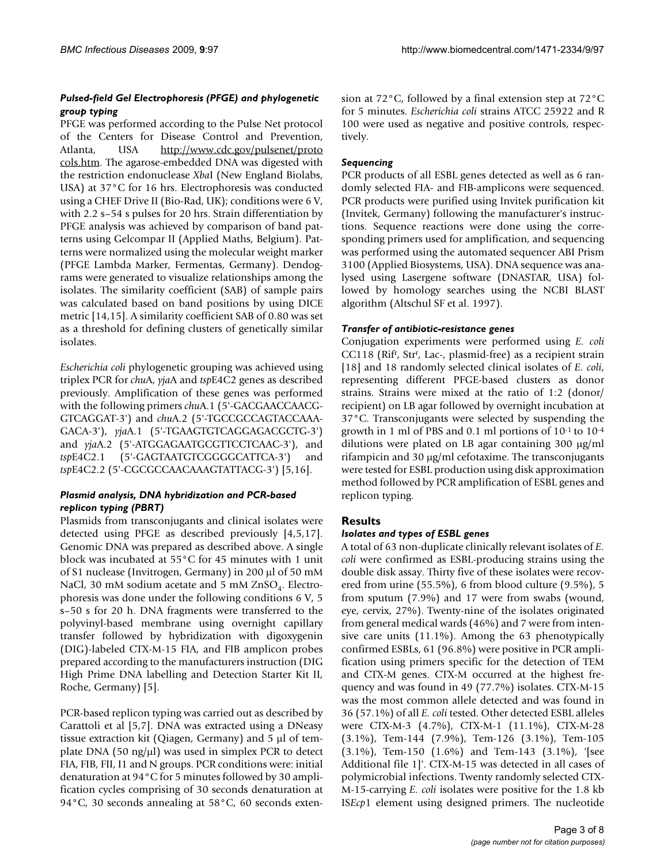#### *Pulsed-field Gel Electrophoresis (PFGE) and phylogenetic group typing*

PFGE was performed according to the Pulse Net protocol of the Centers for Disease Control and Prevention, Atlanta, USA [http://www.cdc.gov/pulsenet/proto](http://www.cdc.gov/pulsenet/protocols.htm) [cols.htm.](http://www.cdc.gov/pulsenet/protocols.htm) The agarose-embedded DNA was digested with the restriction endonuclease *Xba*I (New England Biolabs, USA) at 37°C for 16 hrs. Electrophoresis was conducted using a CHEF Drive II (Bio-Rad, UK); conditions were 6 V, with 2.2 s–54 s pulses for 20 hrs. Strain differentiation by PFGE analysis was achieved by comparison of band patterns using Gelcompar II (Applied Maths, Belgium). Patterns were normalized using the molecular weight marker (PFGE Lambda Marker, Fermentas, Germany). Dendograms were generated to visualize relationships among the isolates. The similarity coefficient (SAB) of sample pairs was calculated based on band positions by using DICE metric [14,15]. A similarity coefficient SAB of 0.80 was set as a threshold for defining clusters of genetically similar isolates.

*Escherichia coli* phylogenetic grouping was achieved using triplex PCR for *chu*A, *yja*A and *tsp*E4C2 genes as described previously. Amplification of these genes was performed with the following primers *chu*A.1 (5'-GACGAACCAACG-GTCAGGAT-3') and *chu*A.2 (5'-TGCCGCCAGTACCAAA-GACA-3'), *yja*A.1 (5'-TGAAGTGTCAGGAGACGCTG-3') and *yja*A.2 (5'-ATGGAGAATGCGTTCCTCAAC-3'), and *tsp*E4C2.1 (5'-GAGTAATGTCGGGGCATTCA-3') and *tsp*E4C2.2 (5'-CGCGCCAACAAAGTATTACG-3') [5,16].

#### *Plasmid analysis, DNA hybridization and PCR-based replicon typing (PBRT)*

Plasmids from transconjugants and clinical isolates were detected using PFGE as described previously [4,5,17]. Genomic DNA was prepared as described above. A single block was incubated at 55°C for 45 minutes with 1 unit of S1 nuclease (Invitrogen, Germany) in 200 μl of 50 mM NaCl, 30 mM sodium acetate and 5 mM  $ZnSO<sub>4</sub>$ . Electrophoresis was done under the following conditions 6 V, 5 s–50 s for 20 h. DNA fragments were transferred to the polyvinyl-based membrane using overnight capillary transfer followed by hybridization with digoxygenin (DIG)-labeled CTX-M-15 FIA, and FIB amplicon probes prepared according to the manufacturers instruction (DIG High Prime DNA labelling and Detection Starter Kit II, Roche, Germany) [5].

PCR-based replicon typing was carried out as described by Carattoli et al [5,7]. DNA was extracted using a DNeasy tissue extraction kit (Qiagen, Germany) and 5 μl of template DNA (50 ng/ $\mu$ l) was used in simplex PCR to detect FIA, FIB, FII, I1 and N groups. PCR conditions were: initial denaturation at 94°C for 5 minutes followed by 30 amplification cycles comprising of 30 seconds denaturation at 94°C, 30 seconds annealing at 58°C, 60 seconds extension at 72°C, followed by a final extension step at 72°C for 5 minutes. *Escherichia coli* strains ATCC 25922 and R 100 were used as negative and positive controls, respectively.

### *Sequencing*

PCR products of all ESBL genes detected as well as 6 randomly selected FIA- and FIB-amplicons were sequenced. PCR products were purified using Invitek purification kit (Invitek, Germany) following the manufacturer's instructions. Sequence reactions were done using the corresponding primers used for amplification, and sequencing was performed using the automated sequencer ABI Prism 3100 (Applied Biosystems, USA). DNA sequence was analysed using Lasergene software (DNASTAR, USA) followed by homology searches using the NCBI BLAST algorithm (Altschul SF et al. 1997).

#### *Transfer of antibiotic-resistance genes*

Conjugation experiments were performed using *E. coli* CC118 (Rifr, Strr, Lac-, plasmid-free) as a recipient strain [18] and 18 randomly selected clinical isolates of *E. coli*, representing different PFGE-based clusters as donor strains. Strains were mixed at the ratio of 1:2 (donor/ recipient) on LB agar followed by overnight incubation at 37°C. Transconjugants were selected by suspending the growth in 1 ml of PBS and 0.1 ml portions of 10-1 to 10-4 dilutions were plated on LB agar containing 300 μg/ml rifampicin and 30 μg/ml cefotaxime. The transconjugants were tested for ESBL production using disk approximation method followed by PCR amplification of ESBL genes and replicon typing.

# **Results**

#### *Isolates and types of ESBL genes*

A total of 63 non-duplicate clinically relevant isolates of *E. coli* were confirmed as ESBL-producing strains using the double disk assay. Thirty five of these isolates were recovered from urine (55.5%), 6 from blood culture (9.5%), 5 from sputum (7.9%) and 17 were from swabs (wound, eye, cervix, 27%). Twenty-nine of the isolates originated from general medical wards (46%) and 7 were from intensive care units (11.1%). Among the 63 phenotypically confirmed ESBLs, 61 (96.8%) were positive in PCR amplification using primers specific for the detection of TEM and CTX-M genes. CTX-M occurred at the highest frequency and was found in 49 (77.7%) isolates. CTX-M-15 was the most common allele detected and was found in 36 (57.1%) of all *E. coli* tested. Other detected ESBL alleles were CTX-M-3 (4.7%), CTX-M-1 (11.1%), CTX-M-28 (3.1%), Tem-144 (7.9%), Tem-126 (3.1%), Tem-105 (3.1%), Tem-150 (1.6%) and Tem-143 (3.1%), '[see Additional file 1]'. CTX-M-15 was detected in all cases of polymicrobial infections. Twenty randomly selected CTX-M-15-carrying *E. coli* isolates were positive for the 1.8 kb IS*Ecp*1 element using designed primers. The nucleotide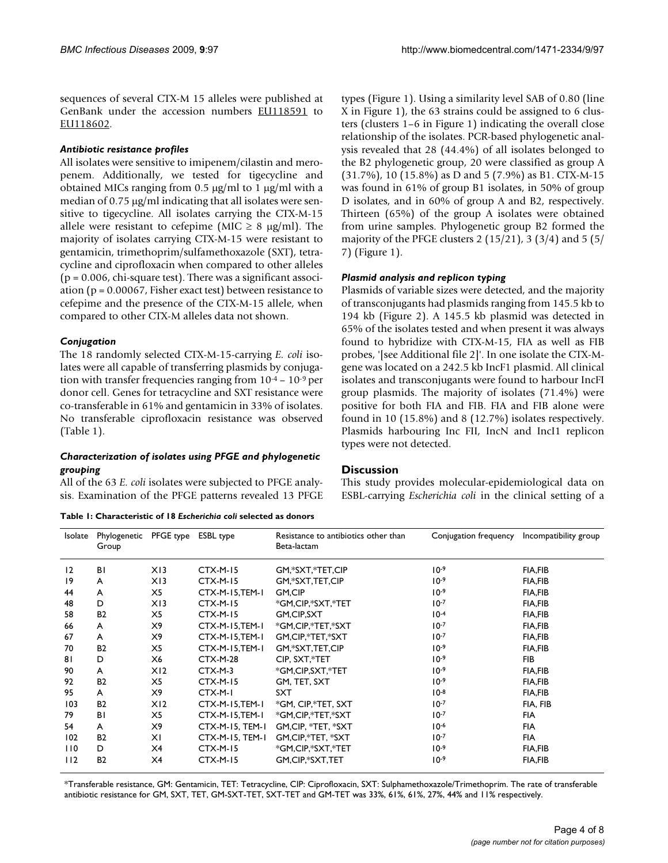sequences of several CTX-M 15 alleles were published at GenBank under the accession numbers [EU118591](http://www.ncbi.nih.gov/entrez/query.fcgi?db=Nucleotide&cmd=search&term=EU118591) to [EU118602](http://www.ncbi.nih.gov/entrez/query.fcgi?db=Nucleotide&cmd=search&term=EU118602).

#### *Antibiotic resistance profiles*

All isolates were sensitive to imipenem/cilastin and meropenem. Additionally, we tested for tigecycline and obtained MICs ranging from 0.5 μg/ml to 1 μg/ml with a median of 0.75 μg/ml indicating that all isolates were sensitive to tigecycline. All isolates carrying the CTX-M-15 allele were resistant to cefepime (MIC  $\geq$  8 µg/ml). The majority of isolates carrying CTX-M-15 were resistant to gentamicin, trimethoprim/sulfamethoxazole (SXT), tetracycline and ciprofloxacin when compared to other alleles  $(p = 0.006, chi-square test)$ . There was a significant association ( $p = 0.00067$ , Fisher exact test) between resistance to cefepime and the presence of the CTX-M-15 allele, when compared to other CTX-M alleles data not shown.

#### *Conjugation*

The 18 randomly selected CTX-M-15-carrying *E. coli* isolates were all capable of transferring plasmids by conjugation with transfer frequencies ranging from  $10^{-4}$  –  $10^{-9}$  per donor cell. Genes for tetracycline and SXT resistance were co-transferable in 61% and gentamicin in 33% of isolates. No transferable ciprofloxacin resistance was observed (Table 1).

#### *Characterization of isolates using PFGE and phylogenetic grouping*

All of the 63 *E. coli* isolates were subjected to PFGE analysis. Examination of the PFGE patterns revealed 13 PFGE

**Table 1: Characteristic of 18** *Escherichia coli* **selected as donors**

types (Figure 1). Using a similarity level SAB of 0.80 (line X in Figure 1), the 63 strains could be assigned to 6 clusters (clusters 1–6 in Figure 1) indicating the overall close relationship of the isolates. PCR-based phylogenetic analysis revealed that 28 (44.4%) of all isolates belonged to the B2 phylogenetic group, 20 were classified as group A (31.7%), 10 (15.8%) as D and 5 (7.9%) as B1. CTX-M-15 was found in 61% of group B1 isolates, in 50% of group D isolates, and in 60% of group A and B2, respectively. Thirteen (65%) of the group A isolates were obtained from urine samples. Phylogenetic group B2 formed the majority of the PFGE clusters 2 (15/21), 3 (3/4) and 5 (5/ 7) (Figure 1).

#### *Plasmid analysis and replicon typing*

Plasmids of variable sizes were detected, and the majority of transconjugants had plasmids ranging from 145.5 kb to 194 kb (Figure 2). A 145.5 kb plasmid was detected in 65% of the isolates tested and when present it was always found to hybridize with CTX-M-15, FIA as well as FIB probes, '[see Additional file 2]'. In one isolate the CTX-Mgene was located on a 242.5 kb IncF1 plasmid. All clinical isolates and transconjugants were found to harbour IncFI group plasmids. The majority of isolates (71.4%) were positive for both FIA and FIB. FIA and FIB alone were found in 10 (15.8%) and 8 (12.7%) isolates respectively. Plasmids harbouring Inc FII, IncN and IncI1 replicon types were not detected.

#### **Discussion**

This study provides molecular-epidemiological data on ESBL-carrying *Escherichia coli* in the clinical setting of a

| Isolate | Phylogenetic<br>Group | PFGE type       | ESBL type       | Resistance to antibiotics other than<br>Beta-lactam | Conjugation frequency | Incompatibility group |
|---------|-----------------------|-----------------|-----------------|-----------------------------------------------------|-----------------------|-----------------------|
| 12      | ΒI                    | X13             | <b>CTX-M-15</b> | GM,*SXT,*TET,CIP                                    | $10^{-9}$             | <b>FIA,FIB</b>        |
| 19      | A                     | X13             | <b>CTX-M-15</b> | GM,*SXT,TET,CIP                                     | $10-9$                | <b>FIA,FIB</b>        |
| 44      | A                     | X5              | CTX-M-15,TEM-1  | GM,CIP                                              | $10-9$                | <b>FIA,FIB</b>        |
| 48      | D                     | X13             | <b>CTX-M-15</b> | *GM,CIP,*SXT,*TET                                   | $10^{-7}$             | <b>FIA,FIB</b>        |
| 58      | B <sub>2</sub>        | X5              | <b>CTX-M-15</b> | GM,CIP,SXT                                          | $10-4$                | <b>FIA,FIB</b>        |
| 66      | A                     | X9              | CTX-M-15,TEM-1  | *GM,CIP,*TET,*SXT                                   | $10-7$                | <b>FIA,FIB</b>        |
| 67      | A                     | X9              | CTX-M-15,TEM-1  | GM, CIP,*TET,*SXT                                   | $10^{-7}$             | <b>FIA,FIB</b>        |
| 70      | <b>B2</b>             | X5              | CTX-M-15,TEM-1  | GM,*SXT,TET,CIP                                     | $10-9$                | <b>FIA,FIB</b>        |
| 81      | D                     | X6              | <b>CTX-M-28</b> | CIP. SXT.*TET                                       | $10^{-9}$             | <b>FIB</b>            |
| 90      | A                     | X <sub>12</sub> | CTX-M-3         | *GM,CIP,SXT,*TET                                    | $10^{-9}$             | <b>FIA,FIB</b>        |
| 92      | <b>B2</b>             | X5              | <b>CTX-M-15</b> | GM, TET, SXT                                        | $10-9$                | <b>FIA,FIB</b>        |
| 95      | A                     | X9              | CTX-M-I         | <b>SXT</b>                                          | $10^{-8}$             | <b>FIA,FIB</b>        |
| 103     | <b>B2</b>             | X <sub>12</sub> | CTX-M-15,TEM-1  | *GM, CIP,*TET, SXT                                  | $10^{-7}$             | FIA, FIB              |
| 79      | ΒI                    | X5              | CTX-M-15,TEM-1  | *GM,CIP,*TET,*SXT                                   | $10-7$                | <b>FIA</b>            |
| 54      | A                     | X9              | CTX-M-15, TEM-1 | GM.CIP. *TET. *SXT                                  | $10^{-6}$             | <b>FIA</b>            |
| 102     | <b>B2</b>             | ΧI              | CTX-M-15, TEM-1 | GM, CIP, *TET, *SXT                                 | $10^{-7}$             | <b>FIA</b>            |
| 110     | D                     | X4              | <b>CTX-M-15</b> | *GM,CIP,*SXT,*TET                                   | $10-9$                | <b>FIA,FIB</b>        |
| 112     | <b>B2</b>             | X4              | <b>CTX-M-15</b> | GM,CIP,*SXT,TET                                     | $10-9$                | <b>FIA,FIB</b>        |

\*Transferable resistance, GM: Gentamicin, TET: Tetracycline, CIP: Ciprofloxacin, SXT: Sulphamethoxazole/Trimethoprim. The rate of transferable antibiotic resistance for GM, SXT, TET, GM-SXT-TET, SXT-TET and GM-TET was 33%, 61%, 61%, 27%, 44% and 11% respectively.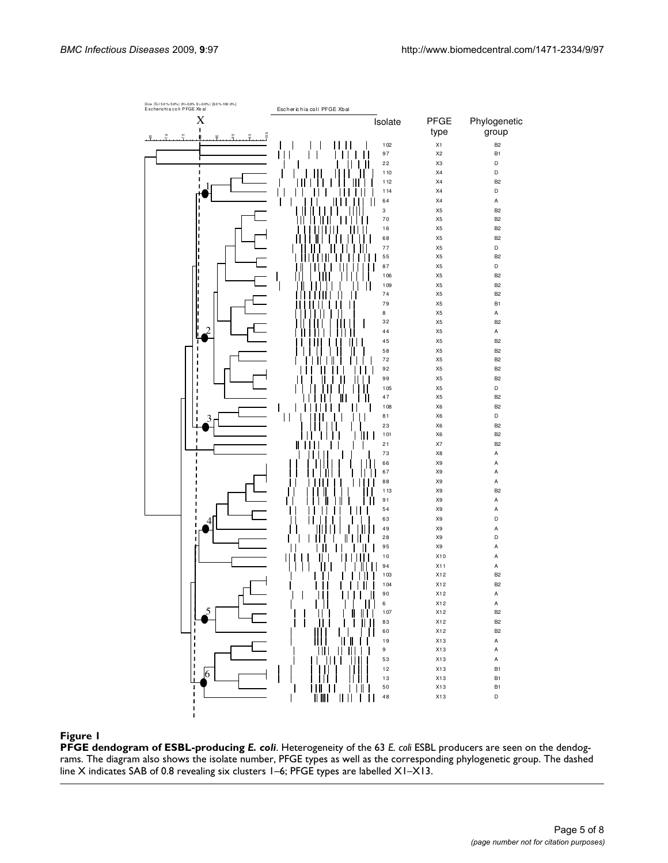

#### **Figure 1**

**PFGE dendogram of ESBL-producing** *E. coli*. Heterogeneity of the 63 *E. coli* ESBL producers are seen on the dendograms. The diagram also shows the isolate number, PFGE types as well as the corresponding phylogenetic group. The dashed line X indicates SAB of 0.8 revealing six clusters 1–6; PFGE types are labelled X1–X13.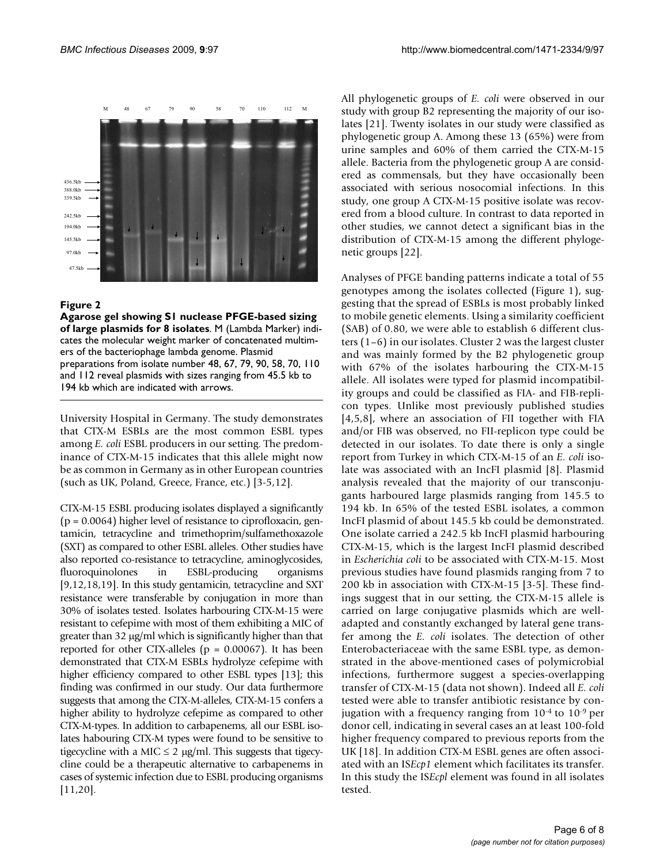

#### Figure 2

**Agarose gel showing S1 nuclease PFGE-based sizing of large plasmids for 8 isolates**. M (Lambda Marker) indicates the molecular weight marker of concatenated multimers of the bacteriophage lambda genome. Plasmid preparations from isolate number 48, 67, 79, 90, 58, 70, 110 and 112 reveal plasmids with sizes ranging from 45.5 kb to 194 kb which are indicated with arrows.

University Hospital in Germany. The study demonstrates that CTX-M ESBLs are the most common ESBL types among *E. coli* ESBL producers in our setting. The predominance of CTX-M-15 indicates that this allele might now be as common in Germany as in other European countries (such as UK, Poland, Greece, France, etc.) [3-5,12].

CTX-M-15 ESBL producing isolates displayed a significantly (p = 0.0064) higher level of resistance to ciprofloxacin, gentamicin, tetracycline and trimethoprim/sulfamethoxazole (SXT) as compared to other ESBL alleles. Other studies have also reported co-resistance to tetracycline, aminoglycosides, fluoroquinolones in ESBL-producing organisms [9,12,18,19]. In this study gentamicin, tetracycline and SXT resistance were transferable by conjugation in more than 30% of isolates tested. Isolates harbouring CTX-M-15 were resistant to cefepime with most of them exhibiting a MIC of greater than 32 μg/ml which is significantly higher than that reported for other CTX-alleles ( $p = 0.00067$ ). It has been demonstrated that CTX-M ESBLs hydrolyze cefepime with higher efficiency compared to other ESBL types [13]; this finding was confirmed in our study. Our data furthermore suggests that among the CTX-M-alleles, CTX-M-15 confers a higher ability to hydrolyze cefepime as compared to other CTX-M-types. In addition to carbapenems, all our ESBL isolates habouring CTX-M types were found to be sensitive to tigecycline with a MIC  $\leq$  2  $\mu$ g/ml. This suggests that tigecycline could be a therapeutic alternative to carbapenems in cases of systemic infection due to ESBL producing organisms [11,20].

All phylogenetic groups of *E. coli* were observed in our study with group B2 representing the majority of our isolates [21]. Twenty isolates in our study were classified as phylogenetic group A. Among these 13 (65%) were from urine samples and 60% of them carried the CTX-M-15 allele. Bacteria from the phylogenetic group A are considered as commensals, but they have occasionally been associated with serious nosocomial infections. In this study, one group A CTX-M-15 positive isolate was recovered from a blood culture. In contrast to data reported in other studies, we cannot detect a significant bias in the distribution of CTX-M-15 among the different phylogenetic groups [[22](#page-7-0)].

Analyses of PFGE banding patterns indicate a total of 55 genotypes among the isolates collected (Figure 1), suggesting that the spread of ESBLs is most probably linked to mobile genetic elements. Using a similarity coefficient (SAB) of 0.80, we were able to establish 6 different clusters (1–6) in our isolates. Cluster 2 was the largest cluster and was mainly formed by the B2 phylogenetic group with 67% of the isolates harbouring the CTX-M-15 allele. All isolates were typed for plasmid incompatibility groups and could be classified as FIA- and FIB-replicon types. Unlike most previously published studies [4,5,8], where an association of FII together with FIA and/or FIB was observed, no FII-replicon type could be detected in our isolates. To date there is only a single report from Turkey in which CTX-M-15 of an *E. coli* isolate was associated with an IncFI plasmid [8]. Plasmid analysis revealed that the majority of our transconjugants harboured large plasmids ranging from 145.5 to 194 kb. In 65% of the tested ESBL isolates, a common IncFI plasmid of about 145.5 kb could be demonstrated. One isolate carried a 242.5 kb IncFI plasmid harbouring CTX-M-15, which is the largest IncFI plasmid described in *Escherichia coli* to be associated with CTX-M-15. Most previous studies have found plasmids ranging from 7 to 200 kb in association with CTX-M-15 [3-5]. These findings suggest that in our setting, the CTX-M-15 allele is carried on large conjugative plasmids which are welladapted and constantly exchanged by lateral gene transfer among the *E. coli* isolates. The detection of other Enterobacteriaceae with the same ESBL type, as demonstrated in the above-mentioned cases of polymicrobial infections, furthermore suggest a species-overlapping transfer of CTX-M-15 (data not shown). Indeed all *E. coli* tested were able to transfer antibiotic resistance by conjugation with a frequency ranging from 10-4 to 10-9 per donor cell, indicating in several cases an at least 100-fold higher frequency compared to previous reports from the UK [18]. In addition CTX-M ESBL genes are often associated with an IS*Ecp1* element which facilitates its transfer. In this study the IS*Ecpl* element was found in all isolates tested.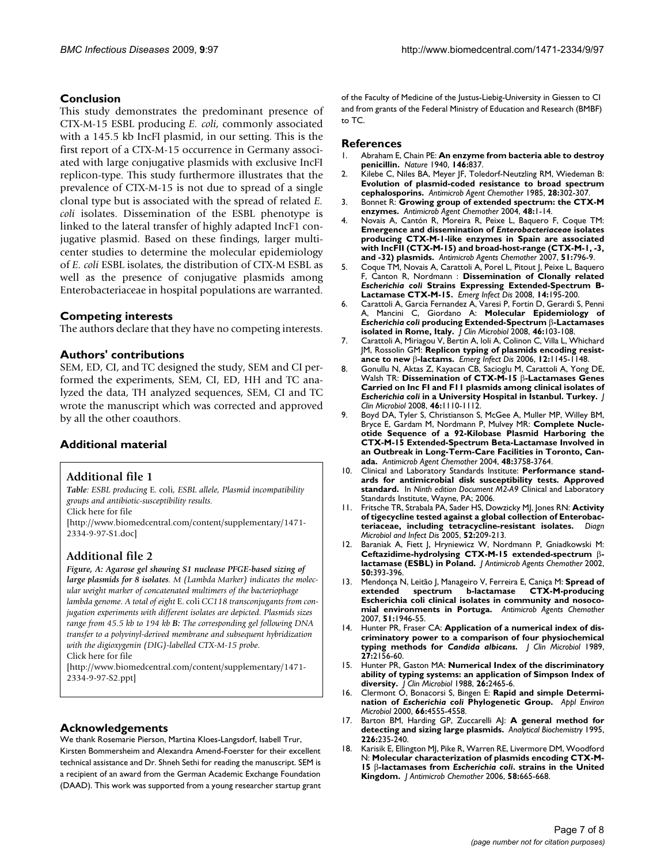#### **Conclusion**

This study demonstrates the predominant presence of CTX-M-15 ESBL producing *E. coli*, commonly associated with a 145.5 kb IncFI plasmid, in our setting. This is the first report of a CTX-M-15 occurrence in Germany associated with large conjugative plasmids with exclusive IncFI replicon-type. This study furthermore illustrates that the prevalence of CTX-M-15 is not due to spread of a single clonal type but is associated with the spread of related *E. coli* isolates. Dissemination of the ESBL phenotype is linked to the lateral transfer of highly adapted IncF1 conjugative plasmid. Based on these findings, larger multicenter studies to determine the molecular epidemiology of *E. coli* ESBL isolates, the distribution of CTX-M ESBL as well as the presence of conjugative plasmids among Enterobacteriaceae in hospital populations are warranted.

#### **Competing interests**

The authors declare that they have no competing interests.

#### **Authors' contributions**

SEM, ED, CI, and TC designed the study, SEM and CI performed the experiments, SEM, CI, ED, HH and TC analyzed the data, TH analyzed sequences, SEM, CI and TC wrote the manuscript which was corrected and approved by all the other coauthors.

#### **Additional material**

#### **Additional file 1**

*Table: ESBL producing* E. coli*, ESBL allele, Plasmid incompatibility groups and antibiotic-susceptibility results.* Click here for file

[\[http://www.biomedcentral.com/content/supplementary/1471-](http://www.biomedcentral.com/content/supplementary/1471-2334-9-97-S1.doc) 2334-9-97-S1.doc]

# **Additional file 2**

*Figure, A: Agarose gel showing S1 nuclease PFGE-based sizing of large plasmids for 8 isolates. M (Lambda Marker) indicates the molecular weight marker of concatenated multimers of the bacteriophage lambda genome. A total of eight* E. coli *CC118 transconjugants from conjugation experiments with different isolates are depicted. Plasmids sizes range from 45.5 kb to 194 kb B: The corresponding gel following DNA transfer to a polyvinyl-derived membrane and subsequent hybridization with the digioxygenin (DIG)-labelled CTX-M-15 probe.* Click here for file

[\[http://www.biomedcentral.com/content/supplementary/1471-](http://www.biomedcentral.com/content/supplementary/1471-2334-9-97-S2.ppt) 2334-9-97-S2.ppt]

# **Acknowledgements**

We thank Rosemarie Pierson, Martina Kloes-Langsdorf, Isabell Trur, Kirsten Bommersheim and Alexandra Amend-Foerster for their excellent technical assistance and Dr. Shneh Sethi for reading the manuscript. SEM is a recipient of an award from the German Academic Exchange Foundation (DAAD). This work was supported from a young researcher startup grant

of the Faculty of Medicine of the Justus-Liebig-University in Giessen to CI and from grants of the Federal Ministry of Education and Research (BMBF) to TC.

#### **References**

- 1. Abraham E, Chain PE: **An enzyme from bacteria able to destroy penicillin.** *Nature* 1940, **146:**837.
- 2. Kilebe C, Niles BA, Meyer JF, Toledorf-Neutzling RM, Wiedeman B: **Evolution of plasmid-coded resistance to broad spectrum cephalosporins.** *Antimicrob Agent Chemother* 1985, **28:**302-307.
- 3. Bonnet R: **Growing group of extended spectrum: the CTX-M enzymes.** *Antimicrob Agent Chemother* 2004, **48:**1-14.
- 4. Novais A, Cantón R, Moreira R, Peixe L, Baquero F, Coque TM: **Emergence and dissemination of** *Enterobacteriaceae* **[isolates](http://www.ncbi.nlm.nih.gov/entrez/query.fcgi?cmd=Retrieve&db=PubMed&dopt=Abstract&list_uids=17145793) [producing CTX-M-1-like enzymes in Spain are associated](http://www.ncbi.nlm.nih.gov/entrez/query.fcgi?cmd=Retrieve&db=PubMed&dopt=Abstract&list_uids=17145793) with IncFII (CTX-M-15) and broad-host-range (CTX-M-1, -3, [and -32\) plasmids.](http://www.ncbi.nlm.nih.gov/entrez/query.fcgi?cmd=Retrieve&db=PubMed&dopt=Abstract&list_uids=17145793)** *Antimicrob Agents Chemother* 2007, **51:**796-9.
- 5. Coque TM, Novais A, Carattoli A, Porel L, Pitout J, Peixe L, Baquero F, Canton R, Nordmann : **Dissemination of Clonally related** *Escherichia coli* **[Strains Expressing Extended-Spectrum B-](http://www.ncbi.nlm.nih.gov/entrez/query.fcgi?cmd=Retrieve&db=PubMed&dopt=Abstract&list_uids=18258110)[Lactamase CTX-M-15.](http://www.ncbi.nlm.nih.gov/entrez/query.fcgi?cmd=Retrieve&db=PubMed&dopt=Abstract&list_uids=18258110)** *Emerg Infect Dis* 2008, **14:**195-200.
- 6. Carattoli A, Garcia Fernandez A, Varesi P, Fortin D, Gerardi S, Penni A, Mancini C, Giordano A: **Molecular Epidemiology of** *Escherichia coli* **producing Extended-Spectrum** β**[-Lactamases](http://www.ncbi.nlm.nih.gov/entrez/query.fcgi?cmd=Retrieve&db=PubMed&dopt=Abstract&list_uids=17959756) [isolated in Rome, Italy.](http://www.ncbi.nlm.nih.gov/entrez/query.fcgi?cmd=Retrieve&db=PubMed&dopt=Abstract&list_uids=17959756)** *J Clin Microbiol* 2008, **46:**103-108.
- 7. Carattoli A, Miriagou V, Bertin A, loli A, Colinon C, Villa L, Whichard JM, Rossolin GM: **Replicon typing of plasmids encoding resistance to new** β**[-lactams.](http://www.ncbi.nlm.nih.gov/entrez/query.fcgi?cmd=Retrieve&db=PubMed&dopt=Abstract&list_uids=16836838)** *Emerg Infect Dis* 2006, **12:**1145-1148.
- 8. Gonullu N, Aktas Z, Kayacan CB, Sacioglu M, Carattoli A, Yong DE, Walsh TR: **Dissemination of CTX-M-15** β**-Lactamases Genes Carried on Inc FI and F11 plasmids among clinical isolates of** *Escherichia coli* **[in a University Hospital in Istanbul. Turkey.](http://www.ncbi.nlm.nih.gov/entrez/query.fcgi?cmd=Retrieve&db=PubMed&dopt=Abstract&list_uids=18184851)** *J Clin Microbiol* 2008, **46:**1110-1112.
- 9. Boyd DA, Tyler S, Christianson S, McGee A, Muller MP, Willey BM, Bryce E, Gardam M, Nordmann P, Mulvey MR: **Complete Nucleotide Sequence of a 92-Kilobase Plasmid Harboring the CTX-M-15 Extended-Spectrum Beta-Lactamase Involved in an Outbreak in Long-Term-Care Facilities in Toronto, Canada.** *Antimicrob Agent Chemother* 2004, **48:**3758-3764.
- 10. Clinical and Laboratory Standards Institute: **Performance standards for antimicrobial disk susceptibility tests. Approved standard.** In *Ninth edition Document M2-A9* Clinical and Laboratory Standards Institute, Wayne, PA; 2006.
- 11. Fritsche TR, Strabala PA, Sader HS, Dowzicky MJ, Jones RN: **Activity of tigecycline tested against a global collection of Enterobacteriaceae, including tetracycline-resistant isolates.** *Diagn Microbiol and Infect Dis* 2005, **52:**209-213.
- 12. Baraniak A, Fiett J, Hryniewicz W, Nordmann P, Gniadkowski M: **Ceftazidime-hydrolysing CTX-M-15 extended-spectrum** β**lactamase (ESBL) in Poland.** *J Antimicrob Agents Chemother* 2002, **50:**393-396.
- 13. Mendonça N, Leitão J, Manageiro V, Ferreira E, Caniça M: **[Spread of](http://www.ncbi.nlm.nih.gov/entrez/query.fcgi?cmd=Retrieve&db=PubMed&dopt=Abstract&list_uids=17371815) [extended spectrum b-lactamase CTX-M-producing](http://www.ncbi.nlm.nih.gov/entrez/query.fcgi?cmd=Retrieve&db=PubMed&dopt=Abstract&list_uids=17371815) Escherichia coli clinical isolates in community and nosoco[mial environments in Portuga.](http://www.ncbi.nlm.nih.gov/entrez/query.fcgi?cmd=Retrieve&db=PubMed&dopt=Abstract&list_uids=17371815)** *Antimicrob Agents Chemother* 2007, **51:**1946-55.
- 14. Hunter PR, Fraser CA: **Application of a numerical index of discriminatory power to a comparison of four physiochemical typing methods for** *Candida albicans***[.](http://www.ncbi.nlm.nih.gov/entrez/query.fcgi?cmd=Retrieve&db=PubMed&dopt=Abstract&list_uids=2685017)** *J Clin Microbiol* 1989, **27:**2156-60.
- 15. Hunter PR, Gaston MA: **[Numerical Index of the discriminatory](http://www.ncbi.nlm.nih.gov/entrez/query.fcgi?cmd=Retrieve&db=PubMed&dopt=Abstract&list_uids=3069867) [ability of typing systems: an application of Simpson Index of](http://www.ncbi.nlm.nih.gov/entrez/query.fcgi?cmd=Retrieve&db=PubMed&dopt=Abstract&list_uids=3069867) [diversity.](http://www.ncbi.nlm.nih.gov/entrez/query.fcgi?cmd=Retrieve&db=PubMed&dopt=Abstract&list_uids=3069867)** *J Clin Microbiol* 1988, **26:**2465-6.
- 16. Clermont O, Bonacorsi S, Bingen E: **Rapid and simple Determination of** *Escherichia coli* **[Phylogenetic Group.](http://www.ncbi.nlm.nih.gov/entrez/query.fcgi?cmd=Retrieve&db=PubMed&dopt=Abstract&list_uids=11010916)** *Appl Environ Microbiol* 2000, **66:**4555-4558.
- 17. Barton BM, Harding GP, Zuccarelli AJ: **[A general method for](http://www.ncbi.nlm.nih.gov/entrez/query.fcgi?cmd=Retrieve&db=PubMed&dopt=Abstract&list_uids=7793624) [detecting and sizing large plasmids.](http://www.ncbi.nlm.nih.gov/entrez/query.fcgi?cmd=Retrieve&db=PubMed&dopt=Abstract&list_uids=7793624)** *Analytical Biochemistry* 1995, **226:**235-240.
- 18. Karisik E, Ellington MJ, Pike R, Warren RE, Livermore DM, Woodford N: **Molecular characterization of plasmids encoding CTX-M-15** β**-lactamases from** *Escherichia coli***[. strains in the United](http://www.ncbi.nlm.nih.gov/entrez/query.fcgi?cmd=Retrieve&db=PubMed&dopt=Abstract&list_uids=16870648) [Kingdom.](http://www.ncbi.nlm.nih.gov/entrez/query.fcgi?cmd=Retrieve&db=PubMed&dopt=Abstract&list_uids=16870648)** *J Antimicrob Chemother* 2006, **58:**665-668.